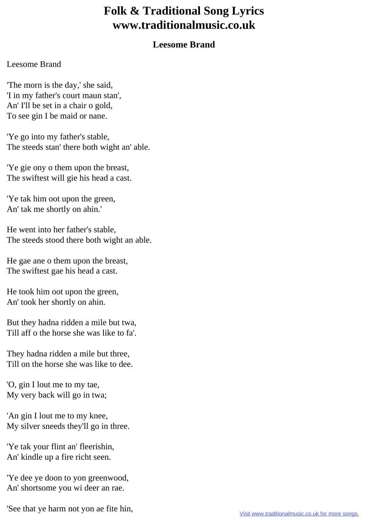## **Folk & Traditional Song Lyrics www.traditionalmusic.co.uk**

## **Leesome Brand**

## Leesome Brand

'The morn is the day,' she said, 'I in my father's court maun stan', An' I'll be set in a chair o gold, To see gin I be maid or nane.

'Ye go into my father's stable, The steeds stan' there both wight an' able.

'Ye gie ony o them upon the breast, The swiftest will gie his head a cast.

'Ye tak him oot upon the green, An' tak me shortly on ahin.'

He went into her father's stable, The steeds stood there both wight an able.

He gae ane o them upon the breast, The swiftest gae his head a cast.

He took him oot upon the green, An' took her shortly on ahin.

But they hadna ridden a mile but twa, Till aff o the horse she was like to fa'.

They hadna ridden a mile but three, Till on the horse she was like to dee.

'O, gin I lout me to my tae, My very back will go in twa;

'An gin I lout me to my knee, My silver sneeds they'll go in three.

'Ye tak your flint an' fleerishin, An' kindle up a fire richt seen.

'Ye dee ye doon to yon greenwood, An' shortsome you wi deer an rae.

'See that ye harm not yon ae fite hin,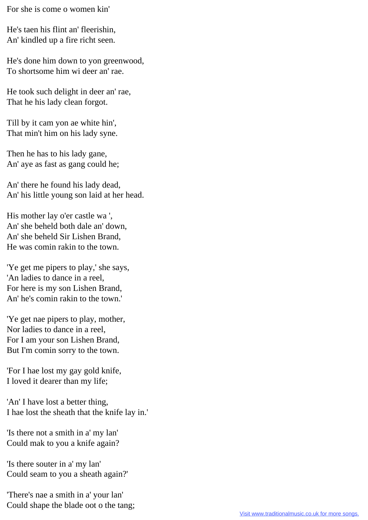For she is come o women kin'

He's taen his flint an' fleerishin, An' kindled up a fire richt seen.

He's done him down to yon greenwood, To shortsome him wi deer an' rae.

He took such delight in deer an' rae, That he his lady clean forgot.

Till by it cam yon ae white hin', That min't him on his lady syne.

Then he has to his lady gane, An' aye as fast as gang could he;

An' there he found his lady dead, An' his little young son laid at her head.

His mother lay o'er castle wa ', An' she beheld both dale an' down, An' she beheld Sir Lishen Brand, He was comin rakin to the town.

'Ye get me pipers to play,' she says, 'An ladies to dance in a reel, For here is my son Lishen Brand, An' he's comin rakin to the town.'

'Ye get nae pipers to play, mother, Nor ladies to dance in a reel, For I am your son Lishen Brand, But I'm comin sorry to the town.

'For I hae lost my gay gold knife, I loved it dearer than my life;

'An' I have lost a better thing, I hae lost the sheath that the knife lay in.'

'Is there not a smith in a' my lan' Could mak to you a knife again?

'Is there souter in a' my lan' Could seam to you a sheath again?'

'There's nae a smith in a' your lan' Could shape the blade oot o the tang;